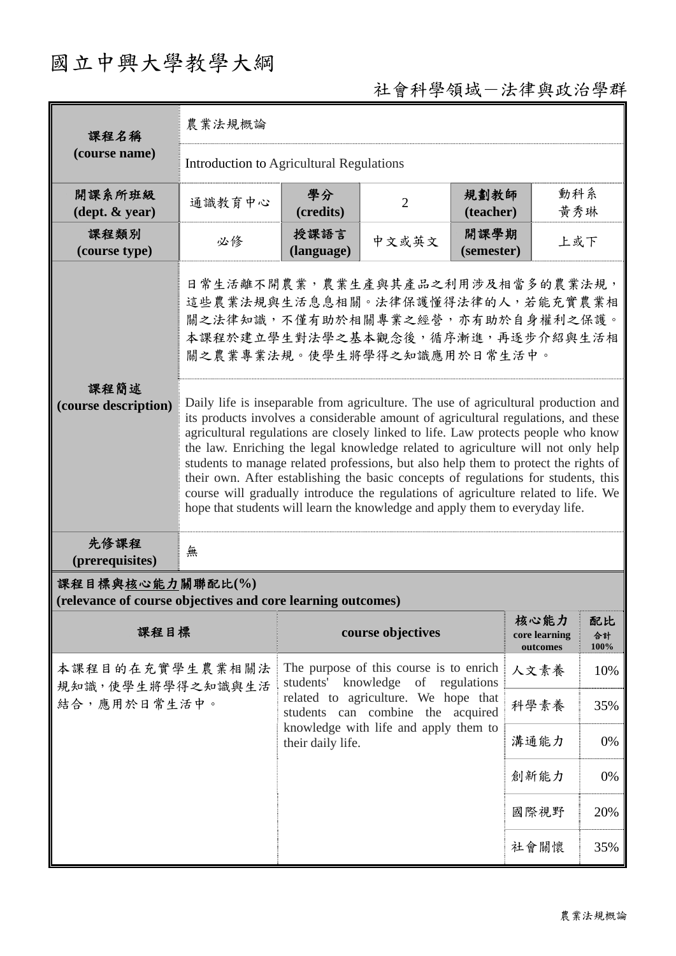## 國立中興大學教學大綱

## 社會科學領域-法律與政治學群

| 課程名稱                                                                            | 農業法規概論                                                                                                                                                                                                                                                                                                                                                                                                                                                                                                                   |                                                                                                                                                               |                   |                    |                                   |                  |  |
|---------------------------------------------------------------------------------|--------------------------------------------------------------------------------------------------------------------------------------------------------------------------------------------------------------------------------------------------------------------------------------------------------------------------------------------------------------------------------------------------------------------------------------------------------------------------------------------------------------------------|---------------------------------------------------------------------------------------------------------------------------------------------------------------|-------------------|--------------------|-----------------------------------|------------------|--|
| (course name)                                                                   | Introduction to Agricultural Regulations                                                                                                                                                                                                                                                                                                                                                                                                                                                                                 |                                                                                                                                                               |                   |                    |                                   |                  |  |
| 開課系所班級<br>$(\text{dept.} \& \text{ year})$                                      | 通識教育中心                                                                                                                                                                                                                                                                                                                                                                                                                                                                                                                   | 學分<br>(credits)                                                                                                                                               | $\overline{2}$    | 規劃教師<br>(teacher)  | 動科系<br>黃秀琳                        |                  |  |
| 課程類別<br>(course type)                                                           | 必修                                                                                                                                                                                                                                                                                                                                                                                                                                                                                                                       | 授課語言<br>(language)                                                                                                                                            | 中文或英文             | 開課學期<br>(semester) | 上或下                               |                  |  |
| 課程簡述<br>(course description)                                                    | 日常生活離不開農業,農業生產與其產品之利用涉及相當多的農業法規,<br>這些農業法規與生活息息相關。法律保護懂得法律的人,若能充實農業相<br>關之法律知識,不僅有助於相關專業之經營,亦有助於自身權利之保護。<br>本課程於建立學生對法學之基本觀念後,循序漸進,再逐步介紹與生活相<br>關之農業專業法規。使學生將學得之知識應用於日常生活中。<br>Daily life is inseparable from agriculture. The use of agricultural production and<br>its products involves a considerable amount of agricultural regulations, and these                                                                                                                                                                  |                                                                                                                                                               |                   |                    |                                   |                  |  |
|                                                                                 | agricultural regulations are closely linked to life. Law protects people who know<br>the law. Enriching the legal knowledge related to agriculture will not only help<br>students to manage related professions, but also help them to protect the rights of<br>their own. After establishing the basic concepts of regulations for students, this<br>course will gradually introduce the regulations of agriculture related to life. We<br>hope that students will learn the knowledge and apply them to everyday life. |                                                                                                                                                               |                   |                    |                                   |                  |  |
| 先修課程<br>(prerequisites)                                                         | 無                                                                                                                                                                                                                                                                                                                                                                                                                                                                                                                        |                                                                                                                                                               |                   |                    |                                   |                  |  |
| 課程目標與核心能力關聯配比(%)<br>(relevance of course objectives and core learning outcomes) |                                                                                                                                                                                                                                                                                                                                                                                                                                                                                                                          |                                                                                                                                                               |                   |                    |                                   |                  |  |
| 課程目標                                                                            |                                                                                                                                                                                                                                                                                                                                                                                                                                                                                                                          |                                                                                                                                                               | course objectives |                    | 核心能力<br>core learning<br>outcomes | 配比<br>合計<br>100% |  |
| 本課程目的在充實學生農業相關法<br>規知識,使學生將學得之知識與生活<br>結合,應用於日常生活中。                             |                                                                                                                                                                                                                                                                                                                                                                                                                                                                                                                          | The purpose of this course is to enrich<br>students' knowledge<br>of regulations<br>related to agriculture. We hope that<br>students can combine the acquired |                   | 人文素養               | 10%                               |                  |  |
|                                                                                 |                                                                                                                                                                                                                                                                                                                                                                                                                                                                                                                          |                                                                                                                                                               |                   | 科學素養               | 35%                               |                  |  |
|                                                                                 |                                                                                                                                                                                                                                                                                                                                                                                                                                                                                                                          | knowledge with life and apply them to<br>their daily life.                                                                                                    |                   |                    | 溝通能力                              | 0%               |  |
|                                                                                 |                                                                                                                                                                                                                                                                                                                                                                                                                                                                                                                          |                                                                                                                                                               |                   | 創新能力               | 0%                                |                  |  |
|                                                                                 |                                                                                                                                                                                                                                                                                                                                                                                                                                                                                                                          |                                                                                                                                                               |                   | 國際視野               | 20%                               |                  |  |
|                                                                                 |                                                                                                                                                                                                                                                                                                                                                                                                                                                                                                                          |                                                                                                                                                               |                   | 社會關懷               | 35%                               |                  |  |